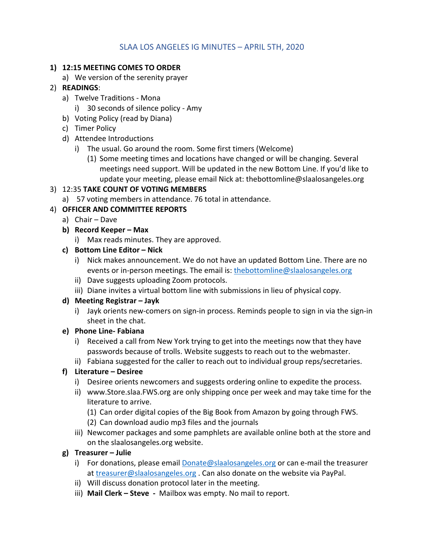## SLAA LOS ANGELES IG MINUTES – APRIL 5TH, 2020

#### **1) 12:15 MEETING COMES TO ORDER**

a) We version of the serenity prayer

# 2) **READINGS**:

- a) Twelve Traditions ‐ Mona
	- i) 30 seconds of silence policy ‐ Amy
- b) Voting Policy (read by Diana)
- c) Timer Policy
- d) Attendee Introductions
	- i) The usual. Go around the room. Some first timers (Welcome)
		- (1) Some meeting times and locations have changed or will be changing. Several meetings need support. Will be updated in the new Bottom Line. If you'd like to update your meeting, please email Nick at: thebottomline@slaalosangeles.org

#### 3) 12:35 **TAKE COUNT OF VOTING MEMBERS**

a) 57 voting members in attendance. 76 total in attendance.

## 4) **OFFICER AND COMMITTEE REPORTS**

- a) Chair Dave
- **b) Record Keeper – Max**
	- i) Max reads minutes. They are approved.

#### **c) Bottom Line Editor – Nick**

- i) Nick makes announcement. We do not have an updated Bottom Line. There are no events or in-person meetings. The email is: thebottomline@slaalosangeles.org
- ii) Dave suggests uploading Zoom protocols.
- iii) Diane invites a virtual bottom line with submissions in lieu of physical copy.

## **d) Meeting Registrar – Jayk**

i) Jayk orients new-comers on sign-in process. Reminds people to sign in via the sign-in sheet in the chat.

## **e) Phone Line‐ Fabiana**

- i) Received a call from New York trying to get into the meetings now that they have passwords because of trolls. Website suggests to reach out to the webmaster.
- ii) Fabiana suggested for the caller to reach out to individual group reps/secretaries.

## **f) Literature – Desiree**

- i) Desiree orients newcomers and suggests ordering online to expedite the process.
- ii) www.Store.slaa.FWS.org are only shipping once per week and may take time for the literature to arrive.
	- (1) Can order digital copies of the Big Book from Amazon by going through FWS.
	- (2) Can download audio mp3 files and the journals
- iii) Newcomer packages and some pamphlets are available online both at the store and on the slaalosangeles.org website.

## **g) Treasurer – Julie**

- i) For donations, please email **Donate@slaalosangeles.org** or can e-mail the treasurer at treasurer@slaalosangeles.org . Can also donate on the website via PayPal.
- ii) Will discuss donation protocol later in the meeting.
- iii) **Mail Clerk – Steve ‐**  Mailbox was empty. No mail to report.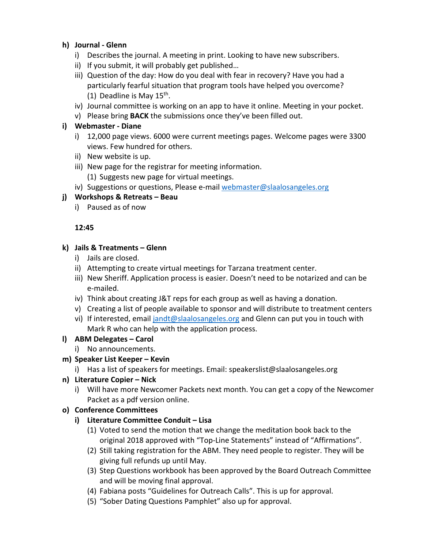#### **h) Journal ‐ Glenn**

- i) Describes the journal. A meeting in print. Looking to have new subscribers.
- ii) If you submit, it will probably get published…
- iii) Question of the day: How do you deal with fear in recovery? Have you had a particularly fearful situation that program tools have helped you overcome? (1) Deadline is May  $15<sup>th</sup>$ .
- iv) Journal committee is working on an app to have it online. Meeting in your pocket.
- v) Please bring **BACK** the submissions once they've been filled out.

#### **i) Webmaster ‐ Diane**

- i) 12,000 page views. 6000 were current meetings pages. Welcome pages were 3300 views. Few hundred for others.
- ii) New website is up.
- iii) New page for the registrar for meeting information.
	- (1) Suggests new page for virtual meetings.
- iv) Suggestions or questions, Please e-mail webmaster@slaalosangeles.org

#### **j) Workshops & Retreats – Beau**

i) Paused as of now

#### **12:45**

#### **k) Jails & Treatments – Glenn**

- i) Jails are closed.
- ii) Attempting to create virtual meetings for Tarzana treatment center.
- iii) New Sheriff. Application process is easier. Doesn't need to be notarized and can be e‐mailed.
- iv) Think about creating J&T reps for each group as well as having a donation.
- v) Creating a list of people available to sponsor and will distribute to treatment centers
- vi) If interested, email jandt@slaalosangeles.org and Glenn can put you in touch with Mark R who can help with the application process.

## **l) ABM Delegates – Carol**

i) No announcements.

## **m) Speaker List Keeper – Kevin**

i) Has a list of speakers for meetings. Email: speakerslist@slaalosangeles.org

## **n) Literature Copier – Nick**

i) Will have more Newcomer Packets next month. You can get a copy of the Newcomer Packet as a pdf version online.

## **o) Conference Committees**

## **i) Literature Committee Conduit – Lisa**

- (1) Voted to send the motion that we change the meditation book back to the original 2018 approved with "Top‐Line Statements" instead of "Affirmations".
- (2) Still taking registration for the ABM. They need people to register. They will be giving full refunds up until May.
- (3) Step Questions workbook has been approved by the Board Outreach Committee and will be moving final approval.
- (4) Fabiana posts "Guidelines for Outreach Calls". This is up for approval.
- (5) "Sober Dating Questions Pamphlet" also up for approval.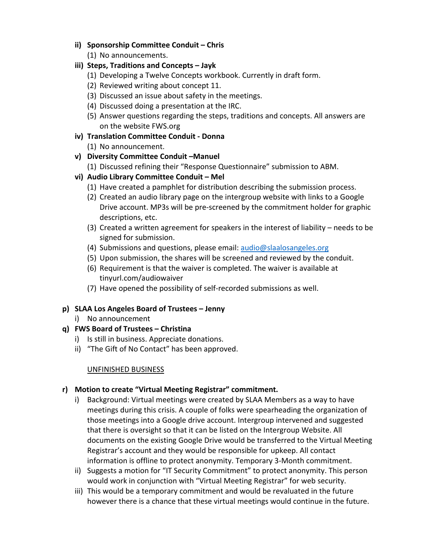- **ii) Sponsorship Committee Conduit – Chris**
	- (1) No announcements.
- **iii) Steps, Traditions and Concepts – Jayk**
	- (1) Developing a Twelve Concepts workbook. Currently in draft form.
	- (2) Reviewed writing about concept 11.
	- (3) Discussed an issue about safety in the meetings.
	- (4) Discussed doing a presentation at the IRC.
	- (5) Answer questions regarding the steps, traditions and concepts. All answers are on the website FWS.org
- **iv) Translation Committee Conduit ‐ Donna**
	- (1) No announcement.
- **v) Diversity Committee Conduit –Manuel**
	- (1) Discussed refining their "Response Questionnaire" submission to ABM.
- **vi) Audio Library Committee Conduit – Mel**
	- (1) Have created a pamphlet for distribution describing the submission process.
	- (2) Created an audio library page on the intergroup website with links to a Google Drive account. MP3s will be pre‐screened by the commitment holder for graphic descriptions, etc.
	- (3) Created a written agreement for speakers in the interest of liability needs to be signed for submission.
	- (4) Submissions and questions, please email: audio@slaalosangeles.org
	- (5) Upon submission, the shares will be screened and reviewed by the conduit.
	- (6) Requirement is that the waiver is completed. The waiver is available at tinyurl.com/audiowaiver
	- (7) Have opened the possibility of self‐recorded submissions as well.
- **p) SLAA Los Angeles Board of Trustees – Jenny**
	- i) No announcement
- **q) FWS Board of Trustees – Christina**
	- i) Is still in business. Appreciate donations.
	- ii) "The Gift of No Contact" has been approved.

## UNFINISHED BUSINESS

## **r) Motion to create "Virtual Meeting Registrar" commitment.**

- i) Background: Virtual meetings were created by SLAA Members as a way to have meetings during this crisis. A couple of folks were spearheading the organization of those meetings into a Google drive account. Intergroup intervened and suggested that there is oversight so that it can be listed on the Intergroup Website. All documents on the existing Google Drive would be transferred to the Virtual Meeting Registrar's account and they would be responsible for upkeep. All contact information is offline to protect anonymity. Temporary 3‐Month commitment.
- ii) Suggests a motion for "IT Security Commitment" to protect anonymity. This person would work in conjunction with "Virtual Meeting Registrar" for web security.
- iii) This would be a temporary commitment and would be revaluated in the future however there is a chance that these virtual meetings would continue in the future.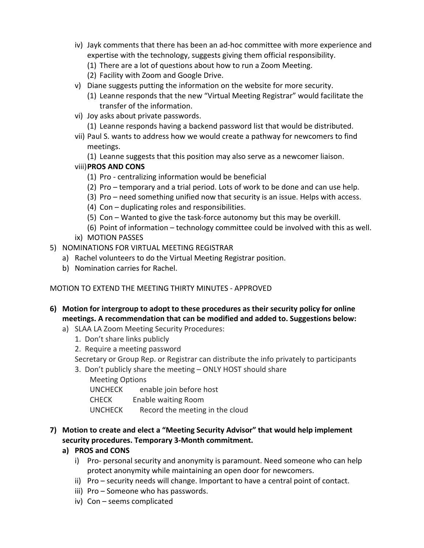- iv) Jayk comments that there has been an ad‐hoc committee with more experience and expertise with the technology, suggests giving them official responsibility.
	- (1) There are a lot of questions about how to run a Zoom Meeting.
	- (2) Facility with Zoom and Google Drive.
- v) Diane suggests putting the information on the website for more security.
	- (1) Leanne responds that the new "Virtual Meeting Registrar" would facilitate the transfer of the information.
- vi) Joy asks about private passwords.
	- (1) Leanne responds having a backend password list that would be distributed.
- vii) Paul S. wants to address how we would create a pathway for newcomers to find meetings.
	- (1) Leanne suggests that this position may also serve as a newcomer liaison.

## viii)**PROS AND CONS**

- (1) Pro ‐ centralizing information would be beneficial
- (2) Pro temporary and a trial period. Lots of work to be done and can use help.
- (3) Pro need something unified now that security is an issue. Helps with access.
- (4) Con duplicating roles and responsibilities.
- (5) Con Wanted to give the task‐force autonomy but this may be overkill.
- (6) Point of information technology committee could be involved with this as well.
- ix) MOTION PASSES
- 5) NOMINATIONS FOR VIRTUAL MEETING REGISTRAR
	- a) Rachel volunteers to do the Virtual Meeting Registrar position.
	- b) Nomination carries for Rachel.

#### MOTION TO EXTEND THE MEETING THIRTY MINUTES ‐ APPROVED

- **6) Motion for intergroup to adopt to these procedures as their security policy for online meetings. A recommendation that can be modified and added to. Suggestions below:**
	- a) SLAA LA Zoom Meeting Security Procedures:
		- 1. Don't share links publicly
		- 2. Require a meeting password

Secretary or Group Rep. or Registrar can distribute the info privately to participants

3. Don't publicly share the meeting – ONLY HOST should share

Meeting Options

UNCHECK enable join before host

CHECK Enable waiting Room

UNCHECK Record the meeting in the cloud

#### **7) Motion to create and elect a "Meeting Security Advisor" that would help implement security procedures. Temporary 3‐Month commitment.**

## **a) PROS and CONS**

- i) Pro- personal security and anonymity is paramount. Need someone who can help protect anonymity while maintaining an open door for newcomers.
- ii) Pro security needs will change. Important to have a central point of contact.
- iii) Pro Someone who has passwords.
- iv) Con seems complicated